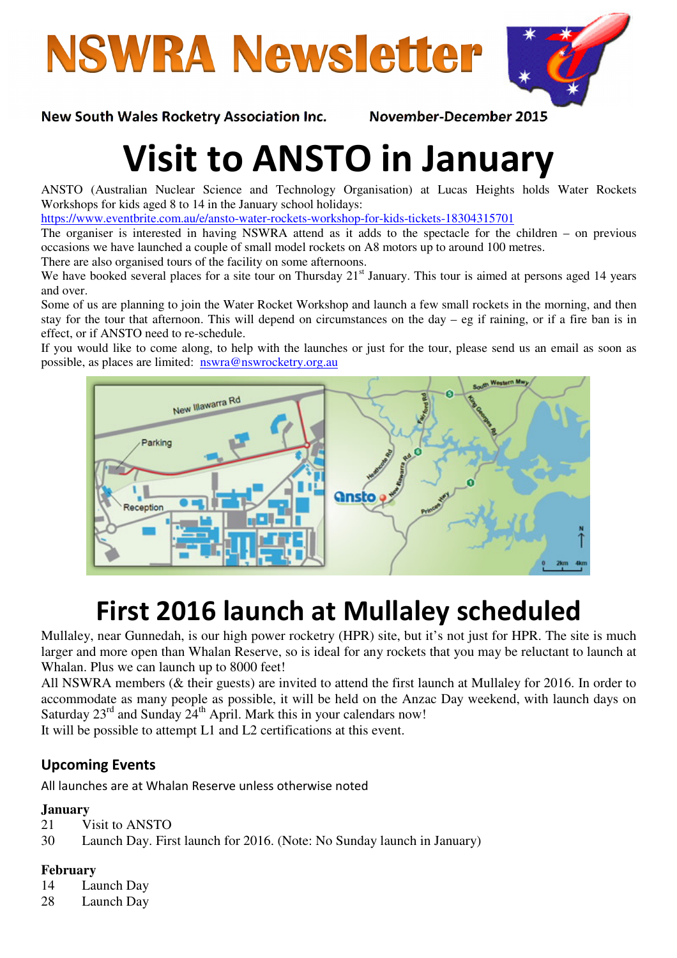



#### New South Wales Rocketry Association Inc. November-December 2015

# Visit to ANSTO in January

ANSTO (Australian Nuclear Science and Technology Organisation) at Lucas Heights holds Water Rockets Workshops for kids aged 8 to 14 in the January school holidays:

https://www.eventbrite.com.au/e/ansto-water-rockets-workshop-for-kids-tickets-18304315701

The organiser is interested in having NSWRA attend as it adds to the spectacle for the children – on previous occasions we have launched a couple of small model rockets on A8 motors up to around 100 metres.

There are also organised tours of the facility on some afternoons.

We have booked several places for a site tour on Thursday  $21<sup>st</sup>$  January. This tour is aimed at persons aged 14 years and over.

Some of us are planning to join the Water Rocket Workshop and launch a few small rockets in the morning, and then stay for the tour that afternoon. This will depend on circumstances on the day – eg if raining, or if a fire ban is in effect, or if ANSTO need to re-schedule.

If you would like to come along, to help with the launches or just for the tour, please send us an email as soon as possible, as places are limited: nswra@nswrocketry.org.au



# First 2016 launch at Mullaley scheduled

Mullaley, near Gunnedah, is our high power rocketry (HPR) site, but it's not just for HPR. The site is much larger and more open than Whalan Reserve, so is ideal for any rockets that you may be reluctant to launch at Whalan. Plus we can launch up to 8000 feet!

All NSWRA members (& their guests) are invited to attend the first launch at Mullaley for 2016. In order to accommodate as many people as possible, it will be held on the Anzac Day weekend, with launch days on Saturday  $23^{\text{rd}}$  and Sunday  $24^{\text{th}}$  April. Mark this in your calendars now!

It will be possible to attempt L1 and L2 certifications at this event.

#### Upcoming Events

All launches are at Whalan Reserve unless otherwise noted

#### **January**

21 Visit to ANSTO

30 Launch Day. First launch for 2016. (Note: No Sunday launch in January)

#### **February**

14 Launch Day

28 Launch Day